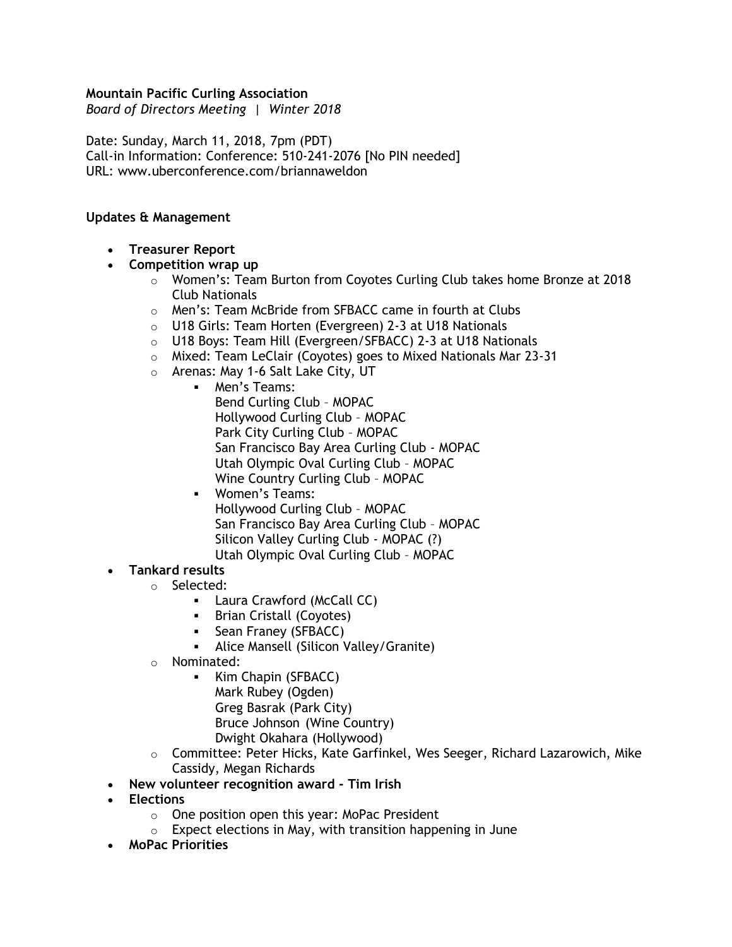### **Mountain Pacific Curling Association**

*Board of Directors Meeting | Winter 2018*

Date: Sunday, March 11, 2018, 7pm (PDT) Call-in Information: Conference: 510-241-2076 [No PIN needed] URL: www.uberconference.com/briannaweldon

#### **Updates & Management**

• **Treasurer Report**

### • **Competition wrap up**

- $\circ$  Women's: Team Burton from Coyotes Curling Club takes home Bronze at 2018 Club Nationals
- o Men's: Team McBride from SFBACC came in fourth at Clubs
- o U18 Girls: Team Horten (Evergreen) 2-3 at U18 Nationals
- o U18 Boys: Team Hill (Evergreen/SFBACC) 2-3 at U18 Nationals
- o Mixed: Team LeClair (Coyotes) goes to Mixed Nationals Mar 23-31
- o Arenas: May 1-6 Salt Lake City, UT
	- Men's Teams: Bend Curling Club – MOPAC Hollywood Curling Club – MOPAC Park City Curling Club – MOPAC San Francisco Bay Area Curling Club - MOPAC Utah Olympic Oval Curling Club – MOPAC Wine Country Curling Club – MOPAC
	- Women's Teams: Hollywood Curling Club – MOPAC San Francisco Bay Area Curling Club – MOPAC Silicon Valley Curling Club - MOPAC (?) Utah Olympic Oval Curling Club – MOPAC

### • **Tankard results**

- o Selected:
	- Laura Crawford (McCall CC)
	- **•** Brian Cristall (Coyotes)
	- **E** Sean Franey (SFBACC)
	- Alice Mansell (Silicon Valley/Granite)
- o Nominated:
	- Kim Chapin (SFBACC) Mark Rubey (Ogden) Greg Basrak (Park City) Bruce Johnson (Wine Country) Dwight Okahara (Hollywood)
- $\circ$  Committee: Peter Hicks, Kate Garfinkel, Wes Seeger, Richard Lazarowich, Mike Cassidy, Megan Richards
- **New volunteer recognition award - Tim Irish**
- **Elections**
	- o One position open this year: MoPac President
	- $\circ$  Expect elections in May, with transition happening in June
- **MoPac Priorities**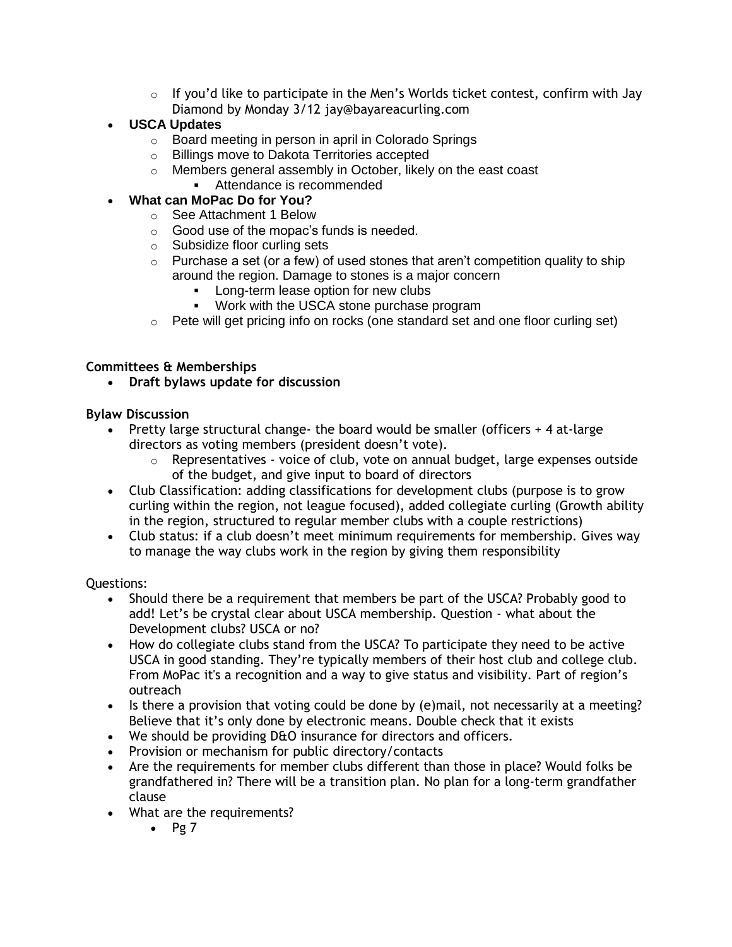- $\circ$  If you'd like to participate in the Men's Worlds ticket contest, confirm with Jay Diamond by Monday 3/12 jay@bayareacurling.com
- **USCA Updates**
	- o Board meeting in person in april in Colorado Springs
	- o Billings move to Dakota Territories accepted
	- o Members general assembly in October, likely on the east coast
		- Attendance is recommended

# • **What can MoPac Do for You?**

- o See Attachment 1 Below
- o Good use of the mopac's funds is needed.
- o Subsidize floor curling sets
- $\circ$  Purchase a set (or a few) of used stones that aren't competition quality to ship around the region. Damage to stones is a major concern
	- **EXECT** Long-term lease option for new clubs
	- Work with the USCA stone purchase program
- $\circ$  Pete will get pricing info on rocks (one standard set and one floor curling set)

## **Committees & Memberships**

• **Draft bylaws update for discussion** 

## **Bylaw Discussion**

- Pretty large structural change- the board would be smaller (officers  $+4$  at-large directors as voting members (president doesn't vote).
	- o Representatives voice of club, vote on annual budget, large expenses outside of the budget, and give input to board of directors
- Club Classification: adding classifications for development clubs (purpose is to grow curling within the region, not league focused), added collegiate curling (Growth ability in the region, structured to regular member clubs with a couple restrictions)
- Club status: if a club doesn't meet minimum requirements for membership. Gives way to manage the way clubs work in the region by giving them responsibility

Questions:

- Should there be a requirement that members be part of the USCA? Probably good to add! Let's be crystal clear about USCA membership. Question - what about the Development clubs? USCA or no?
- How do collegiate clubs stand from the USCA? To participate they need to be active USCA in good standing. They're typically members of their host club and college club. From MoPac it's a recognition and a way to give status and visibility. Part of region's outreach
- Is there a provision that voting could be done by (e)mail, not necessarily at a meeting? Believe that it's only done by electronic means. Double check that it exists
- We should be providing D&O insurance for directors and officers.
- Provision or mechanism for public directory/contacts
- Are the requirements for member clubs different than those in place? Would folks be grandfathered in? There will be a transition plan. No plan for a long-term grandfather clause
- What are the requirements?
	- $\bullet$  Pg 7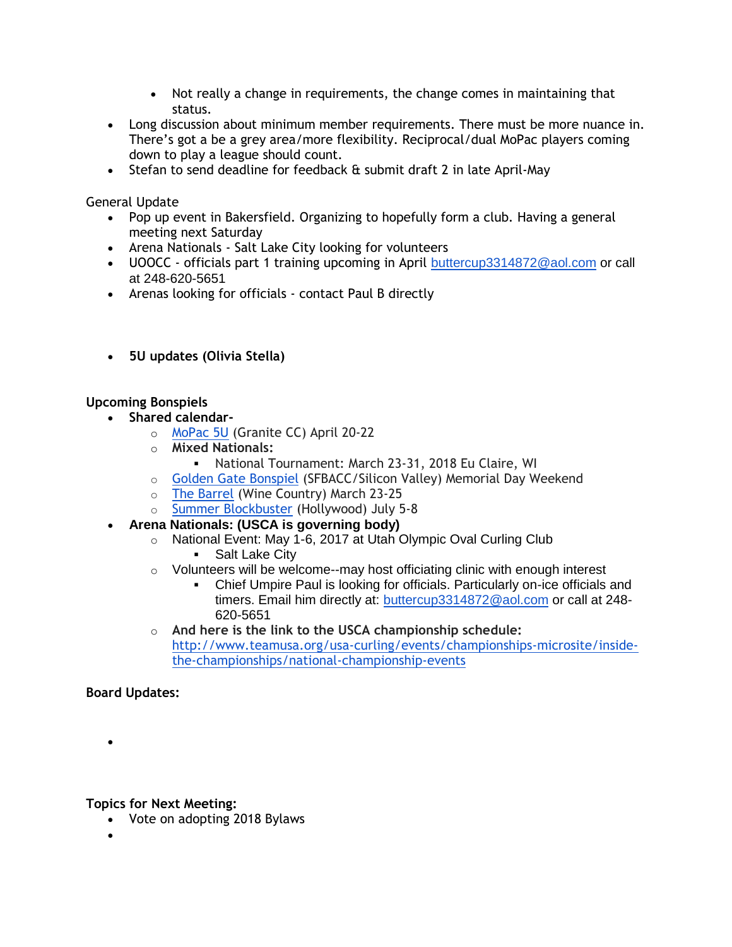- Not really a change in requirements, the change comes in maintaining that status.
- Long discussion about minimum member requirements. There must be more nuance in. There's got a be a grey area/more flexibility. Reciprocal/dual MoPac players coming down to play a league should count.
- Stefan to send deadline for feedback & submit draft 2 in late April-May

General Update

- Pop up event in Bakersfield. Organizing to hopefully form a club. Having a general meeting next Saturday
- Arena Nationals Salt Lake City looking for volunteers
- UOOCC officials part 1 training upcoming in April [buttercup3314872@aol.com](mailto:buttercup3314872@aol.com) or call at 248-620-5651
- Arenas looking for officials contact Paul B directly
- **5U updates (Olivia Stella)**

# **Upcoming Bonspiels**

- **Shared calendar**
	- o [MoPac 5U](http://www.mopacca.org/events/5-year-and-under/2018-5u/) (Granite CC) April 20-22
	- o **Mixed Nationals:**
		- National Tournament: March 23-31, 2018 Eu Claire, WI
	- o [Golden Gate Bonspiel](http://www.goldengatebonspiel.com/) (SFBACC/Silicon Valley) Memorial Day Weekend
	- o [The Barrel](http://winecountrycurlingclub.com/barrel/) (Wine Country) March 23-25
	- o [Summer Blockbuster](https://hollywoodcurling.wildapricot.org/event-2810346) (Hollywood) July 5-8
- **Arena Nationals: (USCA is governing body)** 
	- o National Event: May 1-6, 2017 at Utah Olympic Oval Curling Club
		- **•** Salt Lake City
	- $\circ$  Volunteers will be welcome--may host officiating clinic with enough interest
		- Chief Umpire Paul is looking for officials. Particularly on-ice officials and timers. Email him directly at: [buttercup3314872@aol.com](mailto:buttercup3314872@aol.com) or call at 248- 620-5651
	- o **And here is the link to the USCA championship schedule:**  [http://www.teamusa.org/usa-curling/events/championships-microsite/inside](http://www.teamusa.org/usa-curling/events/championships-microsite/inside-the-championships/national-championship-events)[the-championships/national-championship-events](http://www.teamusa.org/usa-curling/events/championships-microsite/inside-the-championships/national-championship-events)

**Board Updates:**

•

**Topics for Next Meeting:**

- Vote on adopting 2018 Bylaws
- •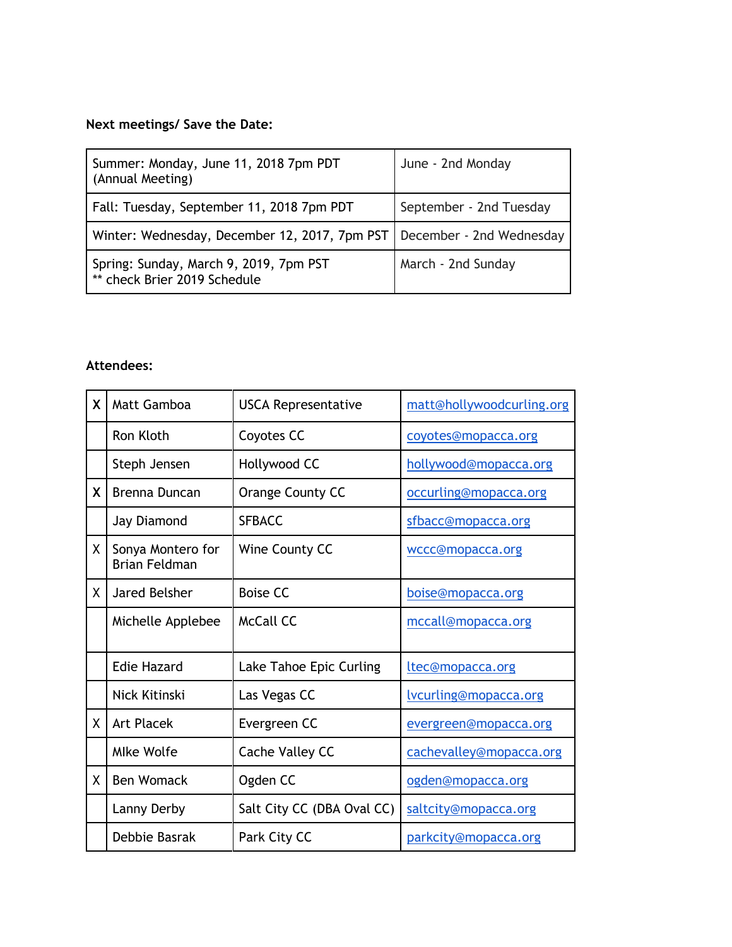# **Next meetings/ Save the Date:**

| Summer: Monday, June 11, 2018 7pm PDT<br>(Annual Meeting)              | June - 2nd Monday        |
|------------------------------------------------------------------------|--------------------------|
| Fall: Tuesday, September 11, 2018 7pm PDT                              | September - 2nd Tuesday  |
| Winter: Wednesday, December 12, 2017, 7pm PST                          | December - 2nd Wednesday |
| Spring: Sunday, March 9, 2019, 7pm PST<br>** check Brier 2019 Schedule | March - 2nd Sunday       |

# **Attendees:**

| X  | Matt Gamboa                               | <b>USCA Representative</b> | matt@hollywoodcurling.org |
|----|-------------------------------------------|----------------------------|---------------------------|
|    | Ron Kloth                                 | Coyotes CC                 | coyotes@mopacca.org       |
|    | Steph Jensen                              | Hollywood CC               | hollywood@mopacca.org     |
| X  | Brenna Duncan                             | Orange County CC           | occurling@mopacca.org     |
|    | Jay Diamond                               | <b>SFBACC</b>              | sfbacc@mopacca.org        |
| X. | Sonya Montero for<br><b>Brian Feldman</b> | Wine County CC             | wccc@mopacca.org          |
| X. | <b>Jared Belsher</b>                      | <b>Boise CC</b>            | boise@mopacca.org         |
|    | Michelle Applebee                         | McCall CC                  | mccall@mopacca.org        |
|    | <b>Edie Hazard</b>                        | Lake Tahoe Epic Curling    | ltec@mopacca.org          |
|    | Nick Kitinski                             | Las Vegas CC               | lvcurling@mopacca.org     |
| X  | <b>Art Placek</b>                         | Evergreen CC               | evergreen@mopacca.org     |
|    | <b>Mlke Wolfe</b>                         | Cache Valley CC            | cachevalley@mopacca.org   |
| X. | <b>Ben Womack</b>                         | Ogden CC                   | ogden@mopacca.org         |
|    | Lanny Derby                               | Salt City CC (DBA Oval CC) | saltcity@mopacca.org      |
|    | Debbie Basrak                             | Park City CC               | parkcity@mopacca.org      |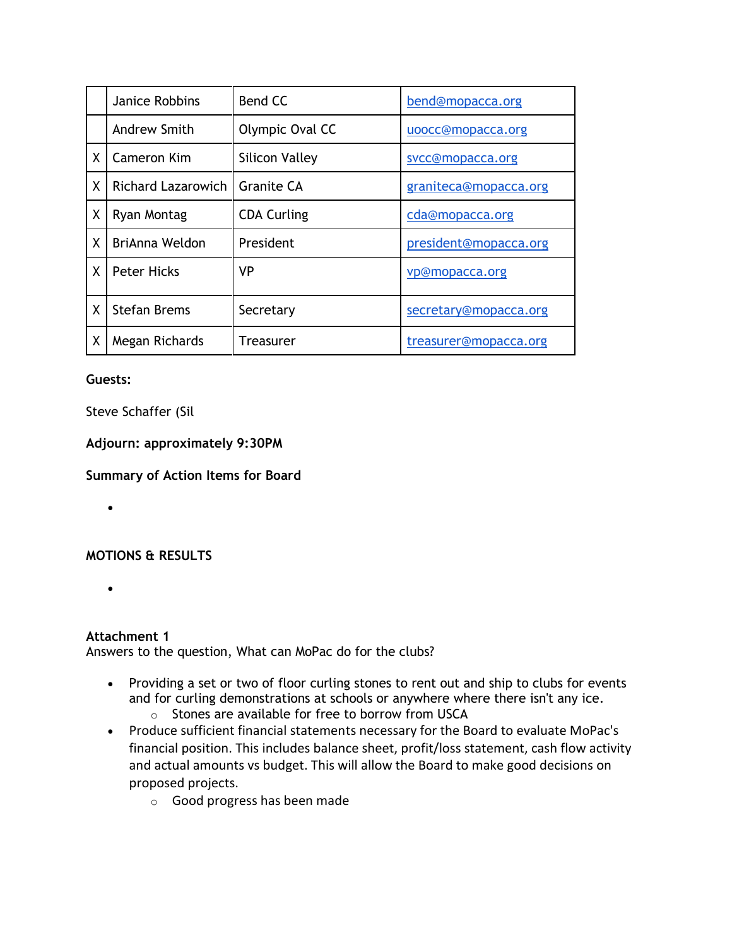|   | Janice Robbins            | Bend CC               | bend@mopacca.org      |
|---|---------------------------|-----------------------|-----------------------|
|   | Andrew Smith              | Olympic Oval CC       | uoocc@mopacca.org     |
| X | Cameron Kim               | <b>Silicon Valley</b> | svcc@mopacca.org      |
| X | <b>Richard Lazarowich</b> | Granite CA            | graniteca@mopacca.org |
| Χ | Ryan Montag               | <b>CDA Curling</b>    | cda@mopacca.org       |
| X | BriAnna Weldon            | President             | president@mopacca.org |
| X | <b>Peter Hicks</b>        | <b>VP</b>             | vp@mopacca.org        |
| X | <b>Stefan Brems</b>       | Secretary             | secretary@mopacca.org |
| Χ | Megan Richards            | Treasurer             | treasurer@mopacca.org |

### **Guests:**

## Steve Schaffer (Sil

## **Adjourn: approximately 9:30PM**

### **Summary of Action Items for Board**

•

# **MOTIONS & RESULTS**

 $\bullet$ 

# **Attachment 1**

Answers to the question, What can MoPac do for the clubs?

- Providing a set or two of floor curling stones to rent out and ship to clubs for events and for curling demonstrations at schools or anywhere where there isn't any ice.
	- o Stones are available for free to borrow from USCA
- Produce sufficient financial statements necessary for the Board to evaluate MoPac's financial position. This includes balance sheet, profit/loss statement, cash flow activity and actual amounts vs budget. This will allow the Board to make good decisions on proposed projects.
	- o Good progress has been made